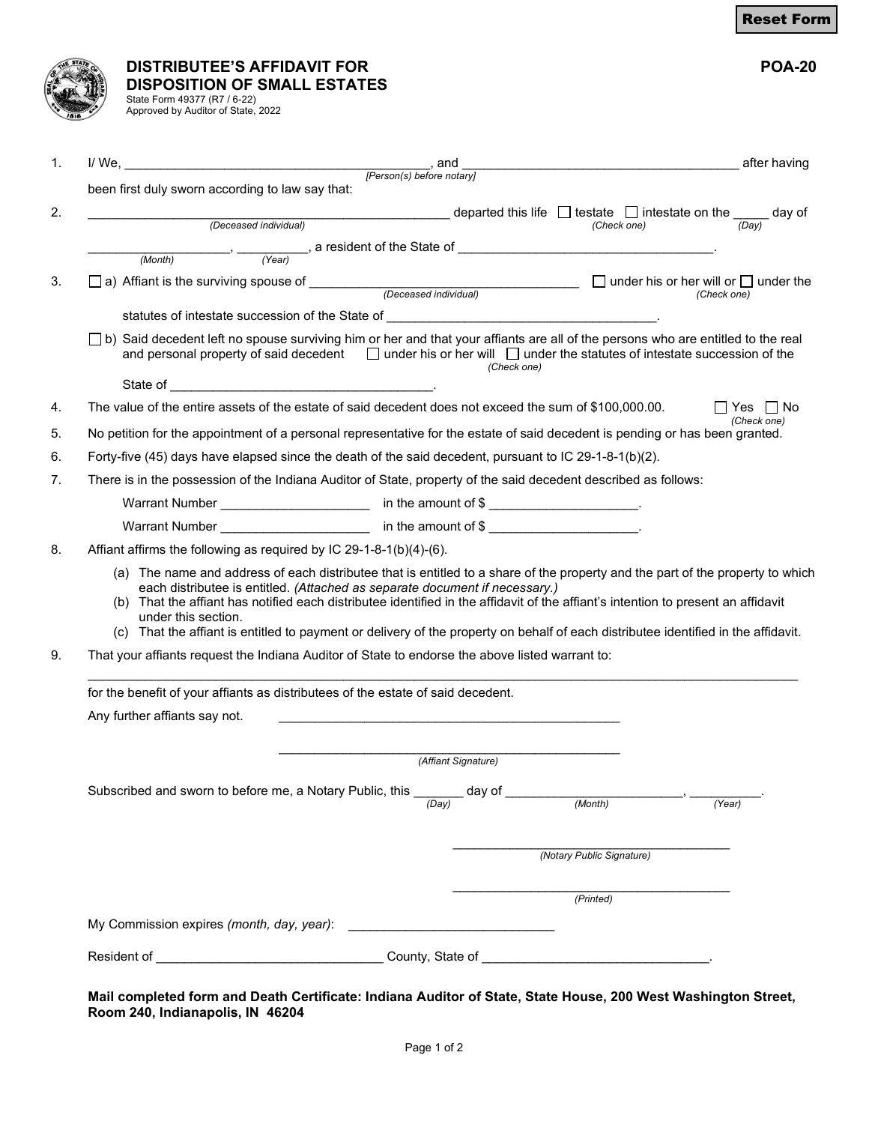| <b>DISTRIBUTEE'S AFFIDAVIT FOR</b>                                                                                         | <b>POA-20</b> |
|----------------------------------------------------------------------------------------------------------------------------|---------------|
| <b>EXAMPLE THE PROPERTY OF SMALL ESTATES<br/>BELLE State Form 49377 (R7 / 6-22)<br/>BELLE State Form 49377 (R7 / 6-22)</b> |               |
|                                                                                                                            |               |

| State Form 49377 (R7 / 6-22)       |  |
|------------------------------------|--|
| Approved by Auditor of State, 2022 |  |
|                                    |  |

|    | $\mathbf{1}$ .<br>and<br>[Person(s) before notary]                                                                                                                                                                                                                                                                                                                                                                                                                                                                 | the contract of the contract of the contract of the contract of the contract of the contract of the contract o |
|----|--------------------------------------------------------------------------------------------------------------------------------------------------------------------------------------------------------------------------------------------------------------------------------------------------------------------------------------------------------------------------------------------------------------------------------------------------------------------------------------------------------------------|----------------------------------------------------------------------------------------------------------------|
|    | been first duly sworn according to law say that:                                                                                                                                                                                                                                                                                                                                                                                                                                                                   |                                                                                                                |
| 2. | departed this life $\Box$ testate $\Box$ intestate on the $\Box$ day of $(Check one)$<br>(Deceased individual)                                                                                                                                                                                                                                                                                                                                                                                                     |                                                                                                                |
|    | $\frac{1}{\sqrt{1-\frac{1}{\sqrt{1-\frac{1}{\sqrt{1-\frac{1}{\sqrt{1-\frac{1}{\sqrt{1-\frac{1}{\sqrt{1-\frac{1}{\sqrt{1-\frac{1}{\sqrt{1-\frac{1}{\sqrt{1-\frac{1}{\sqrt{1-\frac{1}{\sqrt{1-\frac{1}{\sqrt{1-\frac{1}{\sqrt{1-\frac{1}{\sqrt{1-\frac{1}{\sqrt{1-\frac{1}{\sqrt{1-\frac{1}{\sqrt{1-\frac{1}{\sqrt{1-\frac{1}{\sqrt{1-\frac{1}{\sqrt{1-\frac{1}{\sqrt{1-\frac{1}{\sqrt{1-\frac{1}{\sqrt{1-\frac{1}{\sqrt{1-\frac{1$                                                                                  |                                                                                                                |
|    | (Month)                                                                                                                                                                                                                                                                                                                                                                                                                                                                                                            |                                                                                                                |
| 3. | a) Affiant is the surviving spouse of $\Box$ (Deceased individual) $\Box$ under his or her will or $\Box$ under the                                                                                                                                                                                                                                                                                                                                                                                                | (Check one)                                                                                                    |
|    |                                                                                                                                                                                                                                                                                                                                                                                                                                                                                                                    |                                                                                                                |
|    | $\Box$ b) Said decedent left no spouse surviving him or her and that your affiants are all of the persons who are entitled to the real<br>and personal property of said decedent $\Box$ under his or her will $\Box$ under the statutes of intestate succession of the<br>(Check one)                                                                                                                                                                                                                              |                                                                                                                |
|    |                                                                                                                                                                                                                                                                                                                                                                                                                                                                                                                    |                                                                                                                |
| 4. | The value of the entire assets of the estate of said decedent does not exceed the sum of \$100,000.00.                                                                                                                                                                                                                                                                                                                                                                                                             | IIYes IINo<br>(Check one)                                                                                      |
| 5. | No petition for the appointment of a personal representative for the estate of said decedent is pending or has been granted.                                                                                                                                                                                                                                                                                                                                                                                       |                                                                                                                |
| 6. | Forty-five (45) days have elapsed since the death of the said decedent, pursuant to IC 29-1-8-1(b)(2).                                                                                                                                                                                                                                                                                                                                                                                                             |                                                                                                                |
| 7. | There is in the possession of the Indiana Auditor of State, property of the said decedent described as follows:                                                                                                                                                                                                                                                                                                                                                                                                    |                                                                                                                |
|    |                                                                                                                                                                                                                                                                                                                                                                                                                                                                                                                    |                                                                                                                |
|    |                                                                                                                                                                                                                                                                                                                                                                                                                                                                                                                    |                                                                                                                |
|    |                                                                                                                                                                                                                                                                                                                                                                                                                                                                                                                    |                                                                                                                |
| 8. | Affiant affirms the following as required by IC 29-1-8-1(b)(4)-(6).                                                                                                                                                                                                                                                                                                                                                                                                                                                |                                                                                                                |
|    | (a) The name and address of each distributee that is entitled to a share of the property and the part of the property to which<br>each distributee is entitled. (Attached as separate document if necessary.)<br>That the affiant has notified each distributee identified in the affidavit of the affiant's intention to present an affidavit<br>(b)<br>under this section.<br>(c) That the affiant is entitled to payment or delivery of the property on behalf of each distributee identified in the affidavit. |                                                                                                                |
| 9. | That your affiants request the Indiana Auditor of State to endorse the above listed warrant to:                                                                                                                                                                                                                                                                                                                                                                                                                    |                                                                                                                |
|    | for the benefit of your affiants as distributees of the estate of said decedent.                                                                                                                                                                                                                                                                                                                                                                                                                                   |                                                                                                                |
|    | Any further affiants say not.                                                                                                                                                                                                                                                                                                                                                                                                                                                                                      |                                                                                                                |
|    | (Affiant Signature)                                                                                                                                                                                                                                                                                                                                                                                                                                                                                                |                                                                                                                |
|    |                                                                                                                                                                                                                                                                                                                                                                                                                                                                                                                    |                                                                                                                |
|    | Subscribed and sworn to before me, a Notary Public, this _______ day of ________<br>(Month)<br>(Day)                                                                                                                                                                                                                                                                                                                                                                                                               | (Year)                                                                                                         |
|    |                                                                                                                                                                                                                                                                                                                                                                                                                                                                                                                    | (Notary Public Signature)                                                                                      |
|    |                                                                                                                                                                                                                                                                                                                                                                                                                                                                                                                    | (Printed)                                                                                                      |
|    |                                                                                                                                                                                                                                                                                                                                                                                                                                                                                                                    |                                                                                                                |

**Mail completed form and Death Certificate: Indiana Auditor of State, State House, 200 West Washington Street, Room 240, Indianapolis, IN 46204**